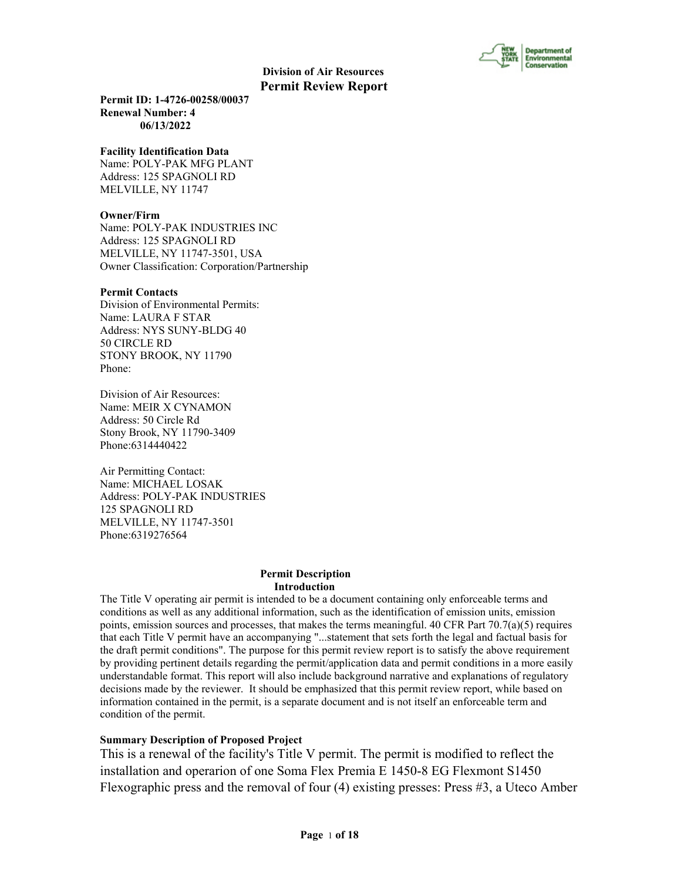

**Permit ID: 1-4726-00258/00037 Renewal Number: 4 06/13/2022**

#### **Facility Identification Data**

Name: POLY-PAK MFG PLANT Address: 125 SPAGNOLI RD MELVILLE, NY 11747

#### **Owner/Firm**

Name: POLY-PAK INDUSTRIES INC Address: 125 SPAGNOLI RD MELVILLE, NY 11747-3501, USA Owner Classification: Corporation/Partnership

#### **Permit Contacts**

Division of Environmental Permits: Name: LAURA F STAR Address: NYS SUNY-BLDG 40 50 CIRCLE RD STONY BROOK, NY 11790 Phone:

Division of Air Resources: Name: MEIR X CYNAMON Address: 50 Circle Rd Stony Brook, NY 11790-3409 Phone:6314440422

Air Permitting Contact: Name: MICHAEL LOSAK Address: POLY-PAK INDUSTRIES 125 SPAGNOLI RD MELVILLE, NY 11747-3501 Phone:6319276564

#### **Permit Description Introduction**

The Title V operating air permit is intended to be a document containing only enforceable terms and conditions as well as any additional information, such as the identification of emission units, emission points, emission sources and processes, that makes the terms meaningful. 40 CFR Part  $70.7(a)(5)$  requires that each Title V permit have an accompanying "...statement that sets forth the legal and factual basis for the draft permit conditions". The purpose for this permit review report is to satisfy the above requirement by providing pertinent details regarding the permit/application data and permit conditions in a more easily understandable format. This report will also include background narrative and explanations of regulatory decisions made by the reviewer. It should be emphasized that this permit review report, while based on information contained in the permit, is a separate document and is not itself an enforceable term and condition of the permit.

#### **Summary Description of Proposed Project**

This is a renewal of the facility's Title V permit. The permit is modified to reflect the installation and operarion of one Soma Flex Premia E 1450-8 EG Flexmont S1450 Flexographic press and the removal of four (4) existing presses: Press #3, a Uteco Amber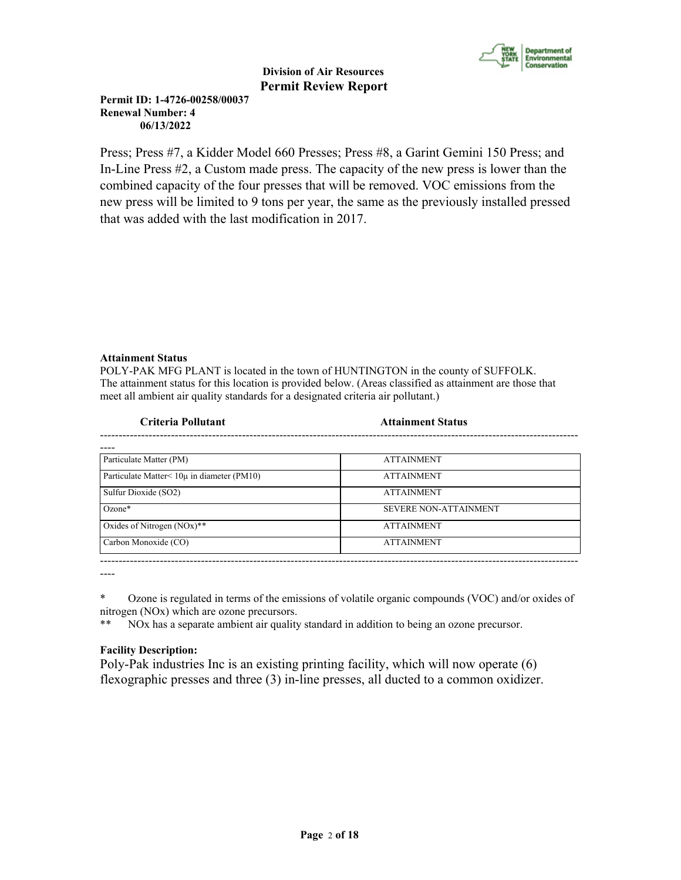

**Permit ID: 1-4726-00258/00037 Renewal Number: 4 06/13/2022**

Press; Press #7, a Kidder Model 660 Presses; Press #8, a Garint Gemini 150 Press; and In-Line Press #2, a Custom made press. The capacity of the new press is lower than the combined capacity of the four presses that will be removed. VOC emissions from the new press will be limited to 9 tons per year, the same as the previously installed pressed that was added with the last modification in 2017.

# **Attainment Status**

POLY-PAK MFG PLANT is located in the town of HUNTINGTON in the county of SUFFOLK. The attainment status for this location is provided below. (Areas classified as attainment are those that meet all ambient air quality standards for a designated criteria air pollutant.)

| Criteria Pollutant                                 | <b>Attainment Status</b>     |  |
|----------------------------------------------------|------------------------------|--|
|                                                    |                              |  |
| Particulate Matter (PM)                            | <b>ATTAINMENT</b>            |  |
| Particulate Matter $\leq 10\mu$ in diameter (PM10) | <b>ATTAINMENT</b>            |  |
| Sulfur Dioxide (SO2)                               | <b>ATTAINMENT</b>            |  |
| $Ozone*$                                           | <b>SEVERE NON-ATTAINMENT</b> |  |
| Oxides of Nitrogen $(NOx)$ **                      | <b>ATTAINMENT</b>            |  |
| Carbon Monoxide (CO)                               | <b>ATTAINMENT</b>            |  |
|                                                    |                              |  |

----

\* Ozone is regulated in terms of the emissions of volatile organic compounds (VOC) and/or oxides of nitrogen (NOx) which are ozone precursors.

\*\* NOx has a separate ambient air quality standard in addition to being an ozone precursor.

# **Facility Description:**

Poly-Pak industries Inc is an existing printing facility, which will now operate (6) flexographic presses and three (3) in-line presses, all ducted to a common oxidizer.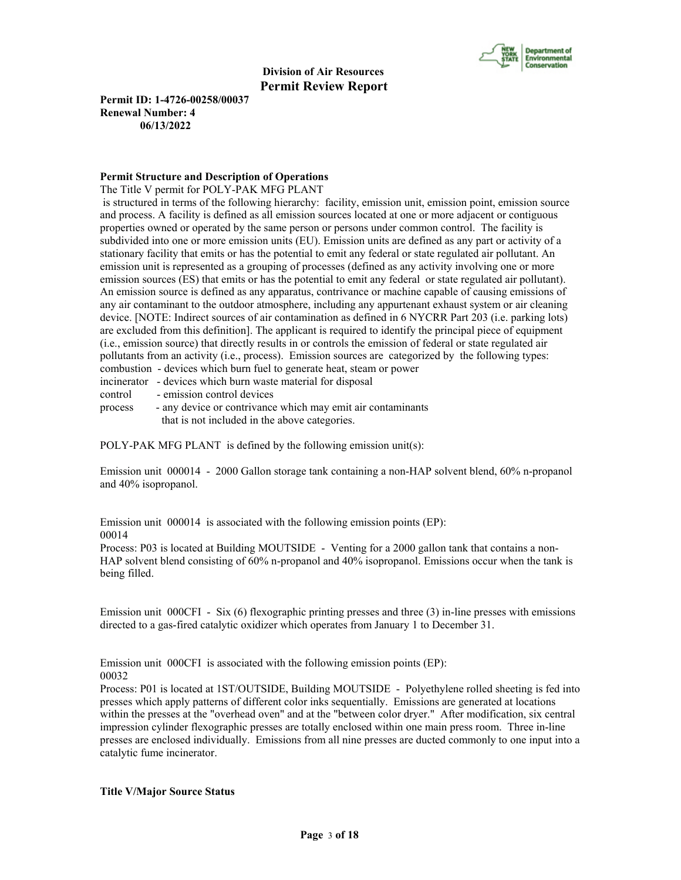

**Permit ID: 1-4726-00258/00037 Renewal Number: 4 06/13/2022**

#### **Permit Structure and Description of Operations**

The Title V permit for POLY-PAK MFG PLANT

 is structured in terms of the following hierarchy: facility, emission unit, emission point, emission source and process. A facility is defined as all emission sources located at one or more adjacent or contiguous properties owned or operated by the same person or persons under common control. The facility is subdivided into one or more emission units (EU). Emission units are defined as any part or activity of a stationary facility that emits or has the potential to emit any federal or state regulated air pollutant. An emission unit is represented as a grouping of processes (defined as any activity involving one or more emission sources (ES) that emits or has the potential to emit any federal or state regulated air pollutant). An emission source is defined as any apparatus, contrivance or machine capable of causing emissions of any air contaminant to the outdoor atmosphere, including any appurtenant exhaust system or air cleaning device. [NOTE: Indirect sources of air contamination as defined in 6 NYCRR Part 203 (i.e. parking lots) are excluded from this definition]. The applicant is required to identify the principal piece of equipment (i.e., emission source) that directly results in or controls the emission of federal or state regulated air pollutants from an activity (i.e., process). Emission sources are categorized by the following types: combustion - devices which burn fuel to generate heat, steam or power incinerator - devices which burn waste material for disposal

control - emission control devices

process - any device or contrivance which may emit air contaminants that is not included in the above categories.

POLY-PAK MFG PLANT is defined by the following emission unit(s):

Emission unit 000014 - 2000 Gallon storage tank containing a non-HAP solvent blend, 60% n-propanol and 40% isopropanol.

Emission unit 000014 is associated with the following emission points (EP): 00014

Process: P03 is located at Building MOUTSIDE - Venting for a 2000 gallon tank that contains a non-HAP solvent blend consisting of 60% n-propanol and 40% isopropanol. Emissions occur when the tank is being filled.

Emission unit 000CFI - Six (6) flexographic printing presses and three (3) in-line presses with emissions directed to a gas-fired catalytic oxidizer which operates from January 1 to December 31.

Emission unit 000CFI is associated with the following emission points (EP): 00032

Process: P01 is located at 1ST/OUTSIDE, Building MOUTSIDE - Polyethylene rolled sheeting is fed into presses which apply patterns of different color inks sequentially. Emissions are generated at locations within the presses at the "overhead oven" and at the "between color dryer." After modification, six central impression cylinder flexographic presses are totally enclosed within one main press room. Three in-line presses are enclosed individually. Emissions from all nine presses are ducted commonly to one input into a catalytic fume incinerator.

# **Title V/Major Source Status**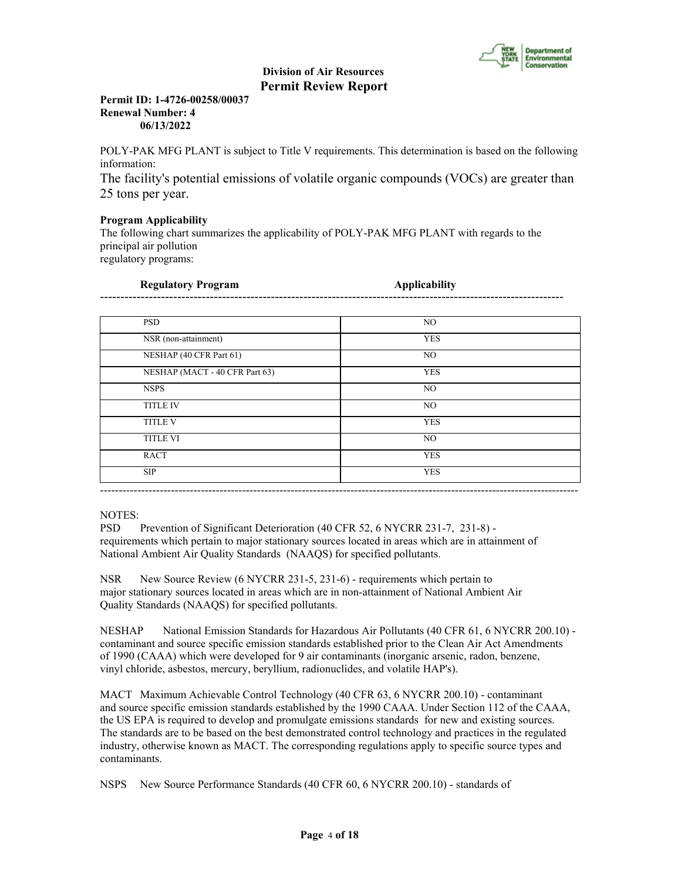

# **Permit ID: 1-4726-00258/00037 Renewal Number: 4 06/13/2022**

POLY-PAK MFG PLANT is subject to Title V requirements. This determination is based on the following information:

The facility's potential emissions of volatile organic compounds (VOCs) are greater than 25 tons per year.

# **Program Applicability**

The following chart summarizes the applicability of POLY-PAK MFG PLANT with regards to the principal air pollution regulatory programs:

| <b>Regulatory Program</b>      | <b>Applicability</b> |  |
|--------------------------------|----------------------|--|
|                                |                      |  |
| <b>PSD</b>                     | NO                   |  |
| NSR (non-attainment)           | <b>YES</b>           |  |
| NESHAP (40 CFR Part 61)        | NO.                  |  |
| NESHAP (MACT - 40 CFR Part 63) | <b>YES</b>           |  |
| <b>NSPS</b>                    | NO.                  |  |
| <b>TITLE IV</b>                | N <sub>O</sub>       |  |
| <b>TITLE V</b>                 | <b>YES</b>           |  |
| <b>TITLE VI</b>                | NO                   |  |
| <b>RACT</b>                    | <b>YES</b>           |  |
| <b>SIP</b>                     | <b>YES</b>           |  |

# NOTES:

PSD Prevention of Significant Deterioration (40 CFR 52, 6 NYCRR 231-7, 231-8) requirements which pertain to major stationary sources located in areas which are in attainment of National Ambient Air Quality Standards (NAAQS) for specified pollutants.

NSR New Source Review (6 NYCRR 231-5, 231-6) - requirements which pertain to major stationary sources located in areas which are in non-attainment of National Ambient Air Quality Standards (NAAQS) for specified pollutants.

NESHAP National Emission Standards for Hazardous Air Pollutants (40 CFR 61, 6 NYCRR 200.10) contaminant and source specific emission standards established prior to the Clean Air Act Amendments of 1990 (CAAA) which were developed for 9 air contaminants (inorganic arsenic, radon, benzene, vinyl chloride, asbestos, mercury, beryllium, radionuclides, and volatile HAP's).

MACT Maximum Achievable Control Technology (40 CFR 63, 6 NYCRR 200.10) - contaminant and source specific emission standards established by the 1990 CAAA. Under Section 112 of the CAAA, the US EPA is required to develop and promulgate emissions standards for new and existing sources. The standards are to be based on the best demonstrated control technology and practices in the regulated industry, otherwise known as MACT. The corresponding regulations apply to specific source types and contaminants.

NSPS New Source Performance Standards (40 CFR 60, 6 NYCRR 200.10) - standards of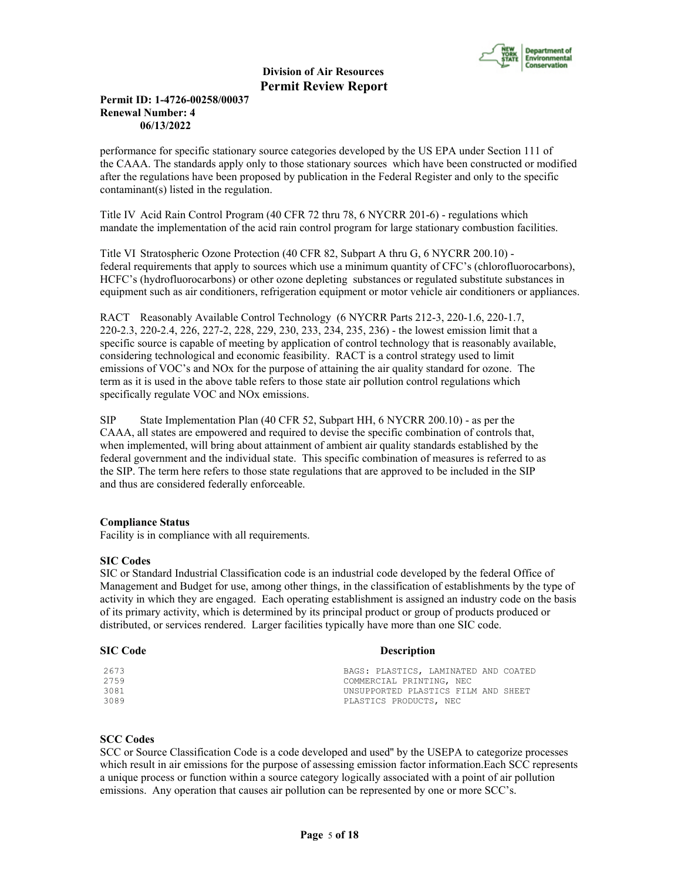

# **Permit ID: 1-4726-00258/00037 Renewal Number: 4 06/13/2022**

performance for specific stationary source categories developed by the US EPA under Section 111 of the CAAA. The standards apply only to those stationary sources which have been constructed or modified after the regulations have been proposed by publication in the Federal Register and only to the specific contaminant(s) listed in the regulation.

Title IV Acid Rain Control Program (40 CFR 72 thru 78, 6 NYCRR 201-6) - regulations which mandate the implementation of the acid rain control program for large stationary combustion facilities.

Title VI Stratospheric Ozone Protection (40 CFR 82, Subpart A thru G, 6 NYCRR 200.10) federal requirements that apply to sources which use a minimum quantity of CFC's (chlorofluorocarbons), HCFC's (hydrofluorocarbons) or other ozone depleting substances or regulated substitute substances in equipment such as air conditioners, refrigeration equipment or motor vehicle air conditioners or appliances.

RACT Reasonably Available Control Technology (6 NYCRR Parts 212-3, 220-1.6, 220-1.7, 220-2.3, 220-2.4, 226, 227-2, 228, 229, 230, 233, 234, 235, 236) - the lowest emission limit that a specific source is capable of meeting by application of control technology that is reasonably available, considering technological and economic feasibility. RACT is a control strategy used to limit emissions of VOC's and NOx for the purpose of attaining the air quality standard for ozone. The term as it is used in the above table refers to those state air pollution control regulations which specifically regulate VOC and NOx emissions.

SIP State Implementation Plan (40 CFR 52, Subpart HH, 6 NYCRR 200.10) - as per the CAAA, all states are empowered and required to devise the specific combination of controls that, when implemented, will bring about attainment of ambient air quality standards established by the federal government and the individual state. This specific combination of measures is referred to as the SIP. The term here refers to those state regulations that are approved to be included in the SIP and thus are considered federally enforceable.

# **Compliance Status**

Facility is in compliance with all requirements.

#### **SIC Codes**

SIC or Standard Industrial Classification code is an industrial code developed by the federal Office of Management and Budget for use, among other things, in the classification of establishments by the type of activity in which they are engaged. Each operating establishment is assigned an industry code on the basis of its primary activity, which is determined by its principal product or group of products produced or distributed, or services rendered. Larger facilities typically have more than one SIC code.

# **SIC Code** Description

2673 BAGS: PLASTICS, LAMINATED AND COATED 2759 COMMERCIAL PRINTING, NEC 3081 UNSUPPORTED PLASTICS FILM AND SHEET PLASTICS PRODUCTS, NEC

# **SCC Codes**

SCC or Source Classification Code is a code developed and used'' by the USEPA to categorize processes which result in air emissions for the purpose of assessing emission factor information.Each SCC represents a unique process or function within a source category logically associated with a point of air pollution emissions. Any operation that causes air pollution can be represented by one or more SCC's.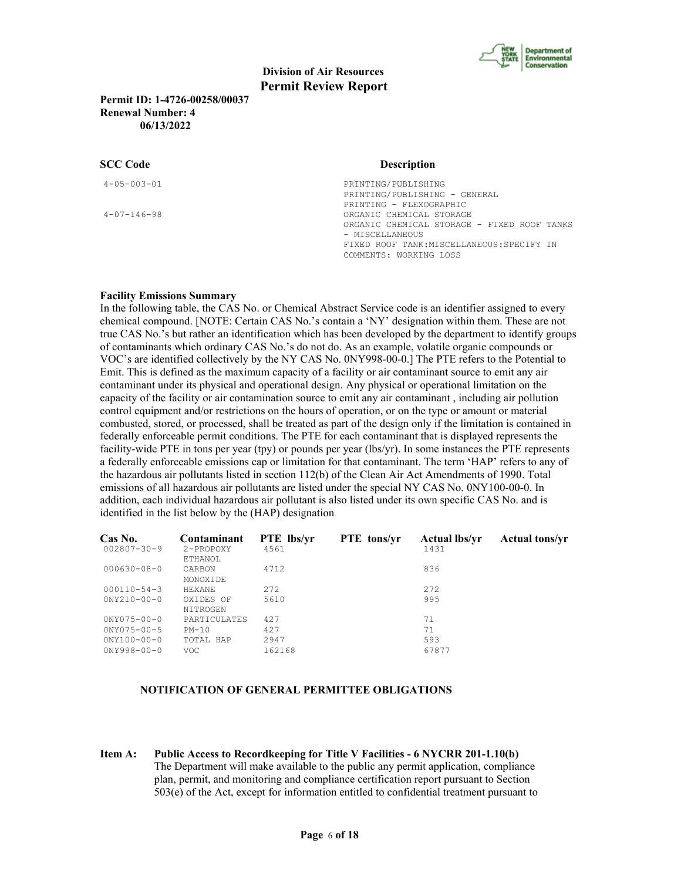

**Permit ID: 1-4726-00258/00037 Renewal Number: 4 06/13/2022**

#### **SCC Code**

| Description |  |  |  |
|-------------|--|--|--|
|             |  |  |  |

4-05-003-01 PRINTING/PUBLISHING PRINTING/PUBLISHING - GENERAL PRINTING - FLEXOGRAPHIC 4-07-146-98 ORGANIC CHEMICAL STORAGE ORGANIC CHEMICAL STORAGE - FIXED ROOF TANKS - MISCELLANEOUS FIXED ROOF TANK:MISCELLANEOUS:SPECIFY IN COMMENTS: WORKING LOSS

#### **Facility Emissions Summary**

In the following table, the CAS No. or Chemical Abstract Service code is an identifier assigned to every chemical compound. [NOTE: Certain CAS No.'s contain a 'NY' designation within them. These are not true CAS No.'s but rather an identification which has been developed by the department to identify groups of contaminants which ordinary CAS No.'s do not do. As an example, volatile organic compounds or VOC's are identified collectively by the NY CAS No. 0NY998-00-0.] The PTE refers to the Potential to Emit. This is defined as the maximum capacity of a facility or air contaminant source to emit any air contaminant under its physical and operational design. Any physical or operational limitation on the capacity of the facility or air contamination source to emit any air contaminant , including air pollution control equipment and/or restrictions on the hours of operation, or on the type or amount or material combusted, stored, or processed, shall be treated as part of the design only if the limitation is contained in federally enforceable permit conditions. The PTE for each contaminant that is displayed represents the facility-wide PTE in tons per year (tpy) or pounds per year (lbs/yr). In some instances the PTE represents a federally enforceable emissions cap or limitation for that contaminant. The term 'HAP' refers to any of the hazardous air pollutants listed in section 112(b) of the Clean Air Act Amendments of 1990. Total emissions of all hazardous air pollutants are listed under the special NY CAS No. 0NY100-00-0. In addition, each individual hazardous air pollutant is also listed under its own specific CAS No. and is identified in the list below by the (HAP) designation.

| Contaminant<br>2-PROPOXY<br>ETHANOL | <b>PTE</b> lbs/yr<br>4561 | <b>PTE</b> tons/vr | <b>Actual lbs/vr</b><br>1431 | <b>Actual tons/vr</b> |
|-------------------------------------|---------------------------|--------------------|------------------------------|-----------------------|
| CARBON<br>MONOXIDE                  | 4712                      |                    | 836                          |                       |
| <b>HEXANE</b>                       | 2.72                      |                    | 2.72                         |                       |
| OXIDES OF<br>NITROGEN               | 5610                      |                    | 995                          |                       |
| PARTICULATES                        | 427                       |                    | 71                           |                       |
| $PM-10$                             | 427                       |                    | 71                           |                       |
| TOTAL HAP<br>VOC.                   | 2947<br>162168            |                    | 593<br>67877                 |                       |
|                                     |                           |                    |                              |                       |

#### **NOTIFICATION OF GENERAL PERMITTEE OBLIGATIONS**

**Item A: Public Access to Recordkeeping for Title V Facilities - 6 NYCRR 201-1.10(b)** The Department will make available to the public any permit application, compliance plan, permit, and monitoring and compliance certification report pursuant to Section 503(e) of the Act, except for information entitled to confidential treatment pursuant to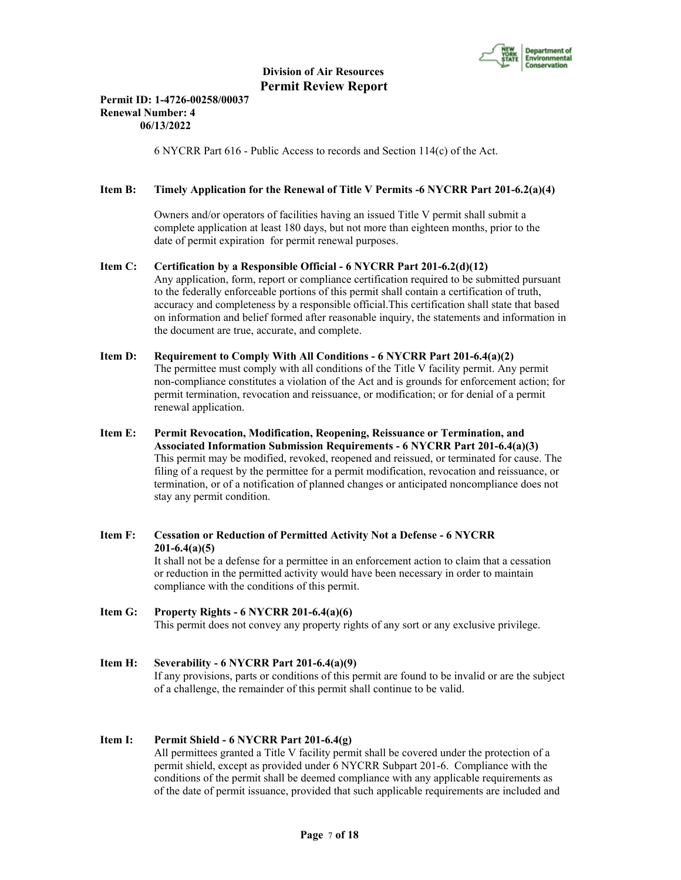

# **Permit ID: 1-4726-00258/00037 Renewal Number: 4 06/13/2022**

6 NYCRR Part 616 - Public Access to records and Section 114(c) of the Act.

# **Item B: Timely Application for the Renewal of Title V Permits -6 NYCRR Part 201-6.2(a)(4)**

 Owners and/or operators of facilities having an issued Title V permit shall submit a complete application at least 180 days, but not more than eighteen months, prior to the date of permit expiration for permit renewal purposes.

#### **Item C: Certification by a Responsible Official - 6 NYCRR Part 201-6.2(d)(12)**

 Any application, form, report or compliance certification required to be submitted pursuant to the federally enforceable portions of this permit shall contain a certification of truth, accuracy and completeness by a responsible official.This certification shall state that based on information and belief formed after reasonable inquiry, the statements and information in the document are true, accurate, and complete.

# **Item D: Requirement to Comply With All Conditions - 6 NYCRR Part 201-6.4(a)(2)** The permittee must comply with all conditions of the Title V facility permit. Any permit

 non-compliance constitutes a violation of the Act and is grounds for enforcement action; for permit termination, revocation and reissuance, or modification; or for denial of a permit renewal application.

- **Item E: Permit Revocation, Modification, Reopening, Reissuance or Termination, and Associated Information Submission Requirements - 6 NYCRR Part 201-6.4(a)(3)** This permit may be modified, revoked, reopened and reissued, or terminated for cause. The filing of a request by the permittee for a permit modification, revocation and reissuance, or termination, or of a notification of planned changes or anticipated noncompliance does not stay any permit condition.
- **Item F: Cessation or Reduction of Permitted Activity Not a Defense 6 NYCRR 201-6.4(a)(5)** It shall not be a defense for a permittee in an enforcement action to claim that a cessation or reduction in the permitted activity would have been necessary in order to maintain compliance with the conditions of this permit.

# **Item G: Property Rights - 6 NYCRR 201-6.4(a)(6)** This permit does not convey any property rights of any sort or any exclusive privilege.

# **Item H: Severability - 6 NYCRR Part 201-6.4(a)(9)** If any provisions, parts or conditions of this permit are found to be invalid or are the subject of a challenge, the remainder of this permit shall continue to be valid.

#### **Item I: Permit Shield - 6 NYCRR Part 201-6.4(g)**

 All permittees granted a Title V facility permit shall be covered under the protection of a permit shield, except as provided under 6 NYCRR Subpart 201-6. Compliance with the conditions of the permit shall be deemed compliance with any applicable requirements as of the date of permit issuance, provided that such applicable requirements are included and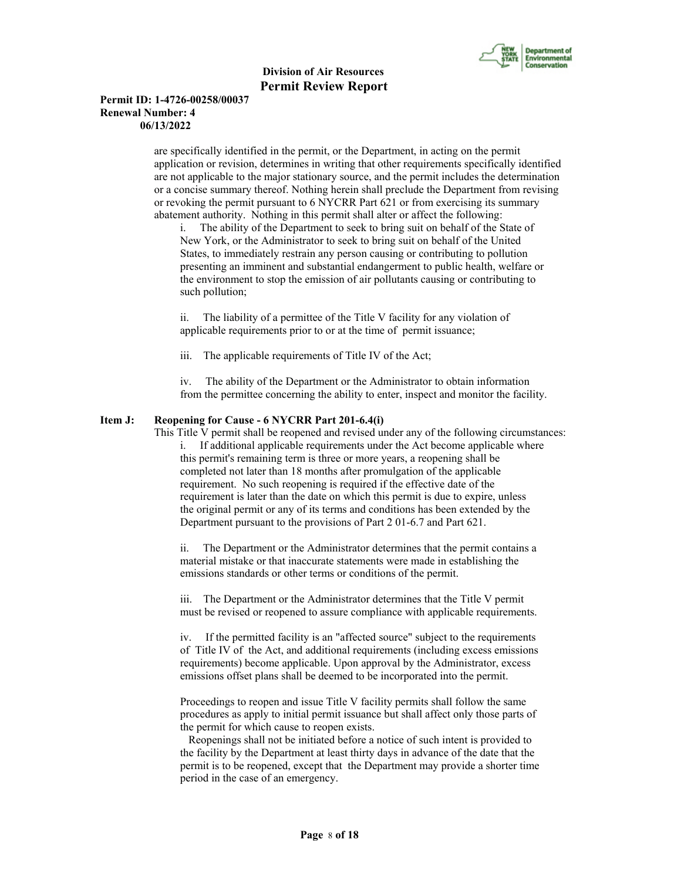

#### **Permit ID: 1-4726-00258/00037 Renewal Number: 4 06/13/2022**

 are specifically identified in the permit, or the Department, in acting on the permit application or revision, determines in writing that other requirements specifically identified are not applicable to the major stationary source, and the permit includes the determination or a concise summary thereof. Nothing herein shall preclude the Department from revising or revoking the permit pursuant to 6 NYCRR Part 621 or from exercising its summary abatement authority. Nothing in this permit shall alter or affect the following:

i. The ability of the Department to seek to bring suit on behalf of the State of New York, or the Administrator to seek to bring suit on behalf of the United States, to immediately restrain any person causing or contributing to pollution presenting an imminent and substantial endangerment to public health, welfare or the environment to stop the emission of air pollutants causing or contributing to such pollution;

ii. The liability of a permittee of the Title V facility for any violation of applicable requirements prior to or at the time of permit issuance;

iii. The applicable requirements of Title IV of the Act;

iv. The ability of the Department or the Administrator to obtain information from the permittee concerning the ability to enter, inspect and monitor the facility.

# **Item J: Reopening for Cause - 6 NYCRR Part 201-6.4(i)**

 This Title V permit shall be reopened and revised under any of the following circumstances: i. If additional applicable requirements under the Act become applicable where this permit's remaining term is three or more years, a reopening shall be completed not later than 18 months after promulgation of the applicable requirement. No such reopening is required if the effective date of the requirement is later than the date on which this permit is due to expire, unless the original permit or any of its terms and conditions has been extended by the Department pursuant to the provisions of Part 2 01-6.7 and Part 621.

ii. The Department or the Administrator determines that the permit contains a material mistake or that inaccurate statements were made in establishing the emissions standards or other terms or conditions of the permit.

iii. The Department or the Administrator determines that the Title V permit must be revised or reopened to assure compliance with applicable requirements.

iv. If the permitted facility is an "affected source" subject to the requirements of Title IV of the Act, and additional requirements (including excess emissions requirements) become applicable. Upon approval by the Administrator, excess emissions offset plans shall be deemed to be incorporated into the permit.

Proceedings to reopen and issue Title V facility permits shall follow the same procedures as apply to initial permit issuance but shall affect only those parts of the permit for which cause to reopen exists.

 Reopenings shall not be initiated before a notice of such intent is provided to the facility by the Department at least thirty days in advance of the date that the permit is to be reopened, except that the Department may provide a shorter time period in the case of an emergency.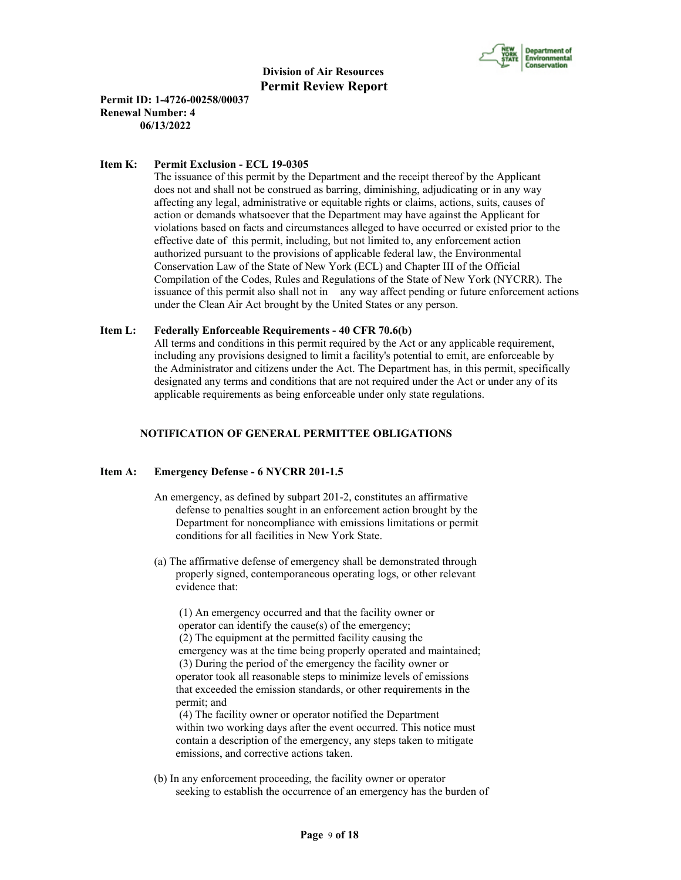

**Permit ID: 1-4726-00258/00037 Renewal Number: 4 06/13/2022**

#### **Item K: Permit Exclusion - ECL 19-0305**

 The issuance of this permit by the Department and the receipt thereof by the Applicant does not and shall not be construed as barring, diminishing, adjudicating or in any way affecting any legal, administrative or equitable rights or claims, actions, suits, causes of action or demands whatsoever that the Department may have against the Applicant for violations based on facts and circumstances alleged to have occurred or existed prior to the effective date of this permit, including, but not limited to, any enforcement action authorized pursuant to the provisions of applicable federal law, the Environmental Conservation Law of the State of New York (ECL) and Chapter III of the Official Compilation of the Codes, Rules and Regulations of the State of New York (NYCRR). The issuance of this permit also shall not in any way affect pending or future enforcement actions under the Clean Air Act brought by the United States or any person.

#### **Item L: Federally Enforceable Requirements - 40 CFR 70.6(b)**

 All terms and conditions in this permit required by the Act or any applicable requirement, including any provisions designed to limit a facility's potential to emit, are enforceable by the Administrator and citizens under the Act. The Department has, in this permit, specifically designated any terms and conditions that are not required under the Act or under any of its applicable requirements as being enforceable under only state regulations.

#### **NOTIFICATION OF GENERAL PERMITTEE OBLIGATIONS**

#### **Item A: Emergency Defense - 6 NYCRR 201-1.5**

- An emergency, as defined by subpart 201-2, constitutes an affirmative defense to penalties sought in an enforcement action brought by the Department for noncompliance with emissions limitations or permit conditions for all facilities in New York State.
- (a) The affirmative defense of emergency shall be demonstrated through properly signed, contemporaneous operating logs, or other relevant evidence that:

 (1) An emergency occurred and that the facility owner or operator can identify the cause(s) of the emergency; (2) The equipment at the permitted facility causing the emergency was at the time being properly operated and maintained; (3) During the period of the emergency the facility owner or operator took all reasonable steps to minimize levels of emissions that exceeded the emission standards, or other requirements in the permit; and

 (4) The facility owner or operator notified the Department within two working days after the event occurred. This notice must contain a description of the emergency, any steps taken to mitigate emissions, and corrective actions taken.

 (b) In any enforcement proceeding, the facility owner or operator seeking to establish the occurrence of an emergency has the burden of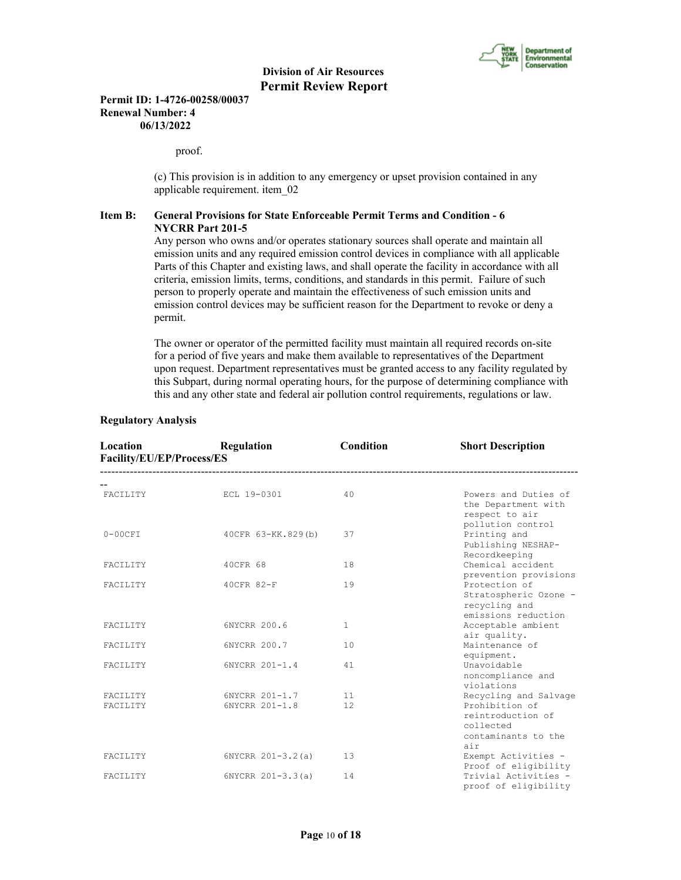

#### **Permit ID: 1-4726-00258/00037 Renewal Number: 4 06/13/2022**

proof.

 (c) This provision is in addition to any emergency or upset provision contained in any applicable requirement. item\_02

# **Item B: General Provisions for State Enforceable Permit Terms and Condition - 6 NYCRR Part 201-5**

 Any person who owns and/or operates stationary sources shall operate and maintain all emission units and any required emission control devices in compliance with all applicable Parts of this Chapter and existing laws, and shall operate the facility in accordance with all criteria, emission limits, terms, conditions, and standards in this permit. Failure of such person to properly operate and maintain the effectiveness of such emission units and emission control devices may be sufficient reason for the Department to revoke or deny a permit.

 The owner or operator of the permitted facility must maintain all required records on-site for a period of five years and make them available to representatives of the Department upon request. Department representatives must be granted access to any facility regulated by this Subpart, during normal operating hours, for the purpose of determining compliance with this and any other state and federal air pollution control requirements, regulations or law.

| Location<br>Facility/EU/EP/Process/ES | Regulation          | Condition    | <b>Short Description</b>                                                       |
|---------------------------------------|---------------------|--------------|--------------------------------------------------------------------------------|
| FACILITY                              | ECL 19-0301         | 40           | Powers and Duties of                                                           |
|                                       |                     |              | the Department with<br>respect to air<br>pollution control                     |
| $0-00CFI$                             | 40CFR 63-KK.829(b)  | 37           | Printing and<br>Publishing NESHAP-<br>Recordkeeping                            |
| FACILITY                              | 40CFR 68            | 18           | Chemical accident<br>prevention provisions                                     |
| FACILITY                              | 40CFR 82-F          | 19           | Protection of<br>Stratospheric Ozone -<br>recycling and<br>emissions reduction |
| FACILITY                              | 6NYCRR 200.6        | $\mathbf{1}$ | Acceptable ambient<br>air quality.                                             |
| FACILITY                              | 6NYCRR 200.7        | 10           | Maintenance of<br>equipment.                                                   |
| FACILITY                              | 6NYCRR 201-1.4      | 41           | Unavoidable<br>noncompliance and<br>violations                                 |
| FACILITY                              | 6NYCRR 201-1.7      | 11           | Recycling and Salvage                                                          |
| FACILITY                              | 6NYCRR 201-1.8      | 12           | Prohibition of<br>reintroduction of<br>collected<br>contaminants to the<br>air |
| FACILITY                              | $6NYCRR 201-3.2(a)$ | 13           | Exempt Activities -<br>Proof of eligibility                                    |
| FACILITY                              | 6NYCRR 201-3.3(a)   | 14           | Trivial Activities -<br>proof of eligibility                                   |

#### **Regulatory Analysis**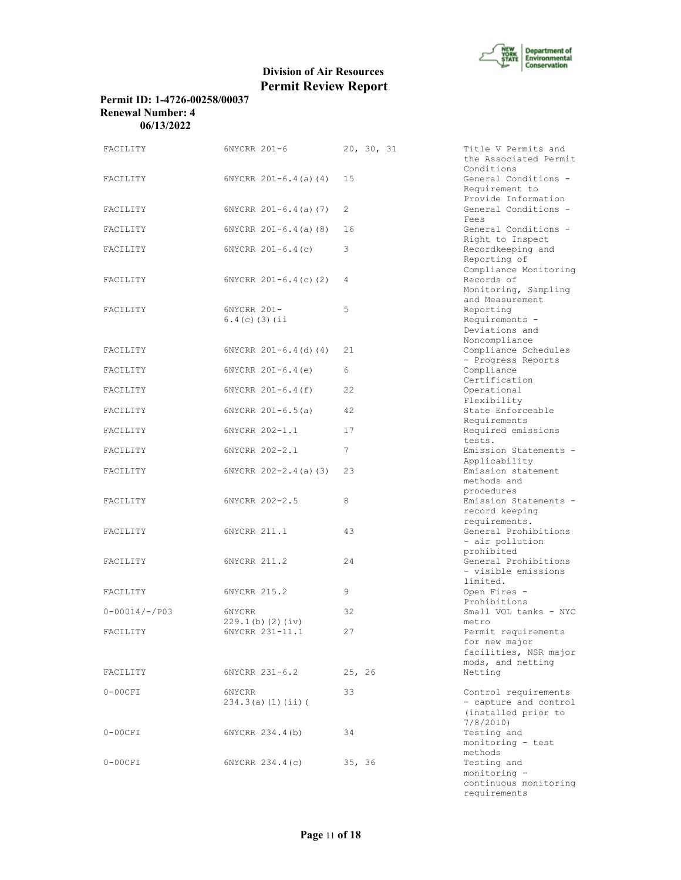

# **Permit ID: 1-4726-00258/00037 Renewal Number: 4 06/13/2022**

| FACILITY           | 6NYCRR 201-6                    | 20, 30, 31 | Title V Permits and<br>the Associated Permit                                     |
|--------------------|---------------------------------|------------|----------------------------------------------------------------------------------|
| FACILITY           | $6NYCRR 201-6.4(a) (4)$         | 15         | Conditions<br>General Conditions -<br>Requirement to                             |
| FACILITY           | $6NYCRR 201-6.4(a) (7)$         | 2          | Provide Information<br>General Conditions -<br>Fees                              |
| FACILITY           | $6NYCRR 201-6.4(a)$ (8)         | 16         | General Conditions -<br>Right to Inspect                                         |
| FACILITY           | $6NYCRR 201-6.4(c)$             | 3          | Recordkeeping and<br>Reporting of                                                |
| FACILITY           | $6NYCRR$ $201-6.4(c)$ (2)       | 4          | Compliance Monitoring<br>Records of<br>Monitoring, Sampling                      |
| FACILITY           | 6NYCRR 201-<br>$6.4(c)$ (3) (ii | 5          | and Measurement<br>Reporting<br>Requirements -<br>Deviations and                 |
| FACILITY           | $6NYCRR 201-6.4(d) (4)$         | 21         | Noncompliance<br>Compliance Schedules<br>- Progress Reports                      |
| FACILITY           | $6NYCRR$ $201-6.4(e)$           | 6          | Compliance<br>Certification                                                      |
| FACILITY           | $6NYCRR 201-6.4(f)$             | 22         | Operational<br>Flexibility                                                       |
| FACILITY           | $6NYCRR 201-6.5(a)$             | 42         | State Enforceable<br>Requirements                                                |
| FACILITY           | 6NYCRR 202-1.1                  | 17         | Required emissions<br>tests.                                                     |
| FACILITY           | 6NYCRR 202-2.1                  | 7          | Emission Statements -<br>Applicability                                           |
| FACILITY           | $6NYCRR 202 - 2.4(a) (3)$       | 23         | Emission statement<br>methods and                                                |
| FACILITY           | 6NYCRR 202-2.5                  | 8          | procedures<br>Emission Statements -<br>record keeping<br>requirements.           |
| FACILITY           | 6NYCRR 211.1                    | 43         | General Prohibitions<br>- air pollution<br>prohibited                            |
| FACILITY           | 6NYCRR 211.2                    | 24         | General Prohibitions<br>- visible emissions<br>limited.                          |
| FACILITY           | 6NYCRR 215.2                    | 9          | Open Fires -<br>Prohibitions                                                     |
| $0 - 00014/-$ /P03 | 6NYCRR<br>229.1(b) (2) (iv)     | 32         | Small VOL tanks - NYC<br>metro                                                   |
| FACILITY           | 6NYCRR 231-11.1                 | 27         | Permit requirements<br>for new major<br>facilities, NSR major                    |
| FACILITY           | 6NYCRR 231-6.2                  | 25, 26     | mods, and netting<br>Netting                                                     |
| $0-00CFI$          | 6NYCRR<br>234.3(a) (1) (ii)     | 33         | Control requirements<br>- capture and control<br>(installed prior to<br>7/8/2010 |
| $0-00CFI$          | 6NYCRR 234.4(b)                 | 34         | Testing and<br>monitoring - test<br>methods                                      |
| $0-00CFI$          | 6NYCRR 234.4(c)                 | 35, 36     | Testing and<br>monitor:                                                          |

|        | 20, 30, 31 | Title V Permits and                        |
|--------|------------|--------------------------------------------|
|        |            | the Associated Permit<br>Conditions        |
| 15     |            | General Conditions -                       |
|        |            | Requirement to                             |
|        |            | Provide Information                        |
| 2      |            | General Conditions -                       |
|        |            | Fees                                       |
| 16     |            | General Conditions -<br>Right to Inspect   |
| 3      |            | Recordkeeping and                          |
|        |            | Reporting of                               |
|        |            | Compliance Monitoring                      |
| 4      |            | Records of                                 |
|        |            | Monitoring, Sampling                       |
|        |            | and Measurement                            |
| 5      |            | Reporting                                  |
|        |            | Requirements -<br>Deviations and           |
|        |            | Noncompliance                              |
| 21     |            | Compliance Schedules                       |
|        |            | - Progress Reports                         |
| 6      |            | Compliance                                 |
|        |            | Certification                              |
| 22     |            | Operational                                |
|        |            | Flexibility                                |
| 42     |            | State Enforceable<br>Requirements          |
| 17     |            | Required emissions                         |
|        |            | tests.                                     |
| 7      |            | Emission Statements -                      |
|        |            | Applicability                              |
| 23     |            | Emission statement                         |
|        |            | methods and                                |
| 8      |            | procedures                                 |
|        |            | Emission Statements -<br>record keeping    |
|        |            | requirements.                              |
| 43     |            | General Prohibitions                       |
|        |            | - air pollution                            |
|        |            | prohibited                                 |
| 24     |            | General Prohibitions                       |
|        |            | - visible emissions<br>limited.            |
| 9      |            | Open Fires -                               |
|        |            | Prohibitions                               |
| 32     |            | Small VOL tanks - NYC                      |
|        |            | metro                                      |
| 27     |            | Permit requirements                        |
|        |            | for new major                              |
|        |            | facilities, NSR major<br>mods, and netting |
| 25, 26 |            | Netting                                    |
|        |            |                                            |
| 33     |            | Control requirements                       |
|        |            | - capture and control                      |
|        |            | (installed prior to                        |
|        |            | 7/8/2010                                   |
| 34     |            | Testing and<br>monitoring - test           |
|        |            | methods                                    |
| 35, 36 |            | Testing and                                |
|        |            | monitoring -                               |
|        |            | continuous monitoring                      |
|        |            | requirements                               |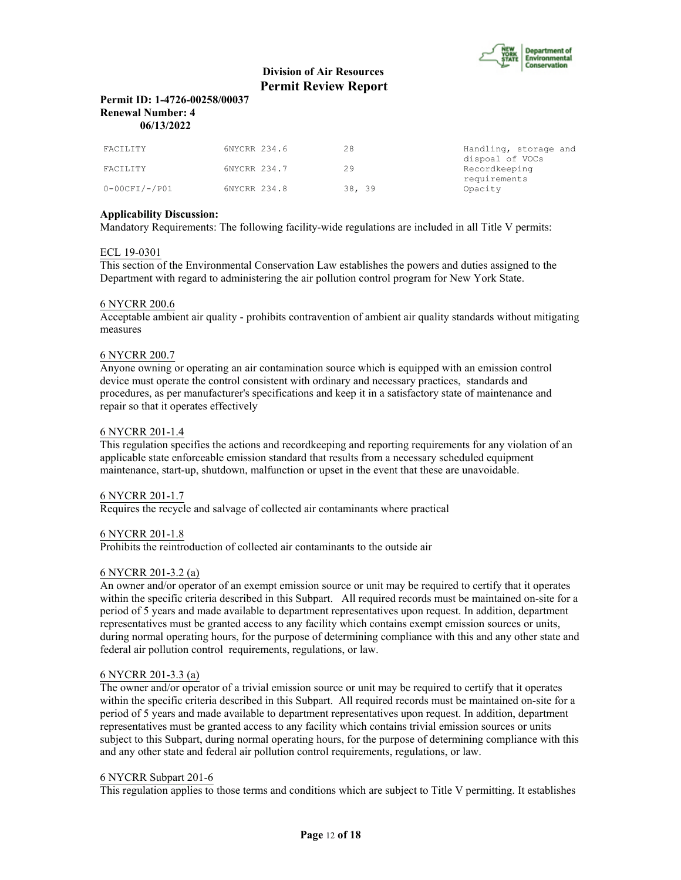

# **Permit ID: 1-4726-00258/00037 Renewal Number: 4 06/13/2022**

| FACILITY         | 6NYCRR 234.6 | 28     | Handling, storage and<br>dispoal of VOCs |
|------------------|--------------|--------|------------------------------------------|
| FACILITY         | 6NYCRR 234.7 | 29     | Recordkeeping                            |
| $0-00$ CFI/-/P01 | 6NYCRR 234.8 | 38, 39 | requirements<br>Opacity                  |

# **Applicability Discussion:**

Mandatory Requirements: The following facility-wide regulations are included in all Title V permits:

#### ECL 19-0301

This section of the Environmental Conservation Law establishes the powers and duties assigned to the Department with regard to administering the air pollution control program for New York State.

#### 6 NYCRR 200.6

Acceptable ambient air quality - prohibits contravention of ambient air quality standards without mitigating measures

# 6 NYCRR 200.7

Anyone owning or operating an air contamination source which is equipped with an emission control device must operate the control consistent with ordinary and necessary practices, standards and procedures, as per manufacturer's specifications and keep it in a satisfactory state of maintenance and repair so that it operates effectively

#### 6 NYCRR 201-1.4

This regulation specifies the actions and recordkeeping and reporting requirements for any violation of an applicable state enforceable emission standard that results from a necessary scheduled equipment maintenance, start-up, shutdown, malfunction or upset in the event that these are unavoidable.

#### 6 NYCRR 201-1.7

Requires the recycle and salvage of collected air contaminants where practical

#### 6 NYCRR 201-1.8

Prohibits the reintroduction of collected air contaminants to the outside air

#### 6 NYCRR 201-3.2 (a)

An owner and/or operator of an exempt emission source or unit may be required to certify that it operates within the specific criteria described in this Subpart. All required records must be maintained on-site for a period of 5 years and made available to department representatives upon request. In addition, department representatives must be granted access to any facility which contains exempt emission sources or units, during normal operating hours, for the purpose of determining compliance with this and any other state and federal air pollution control requirements, regulations, or law.

#### 6 NYCRR 201-3.3 (a)

The owner and/or operator of a trivial emission source or unit may be required to certify that it operates within the specific criteria described in this Subpart. All required records must be maintained on-site for a period of 5 years and made available to department representatives upon request. In addition, department representatives must be granted access to any facility which contains trivial emission sources or units subject to this Subpart, during normal operating hours, for the purpose of determining compliance with this and any other state and federal air pollution control requirements, regulations, or law.

#### 6 NYCRR Subpart 201-6

This regulation applies to those terms and conditions which are subject to Title V permitting. It establishes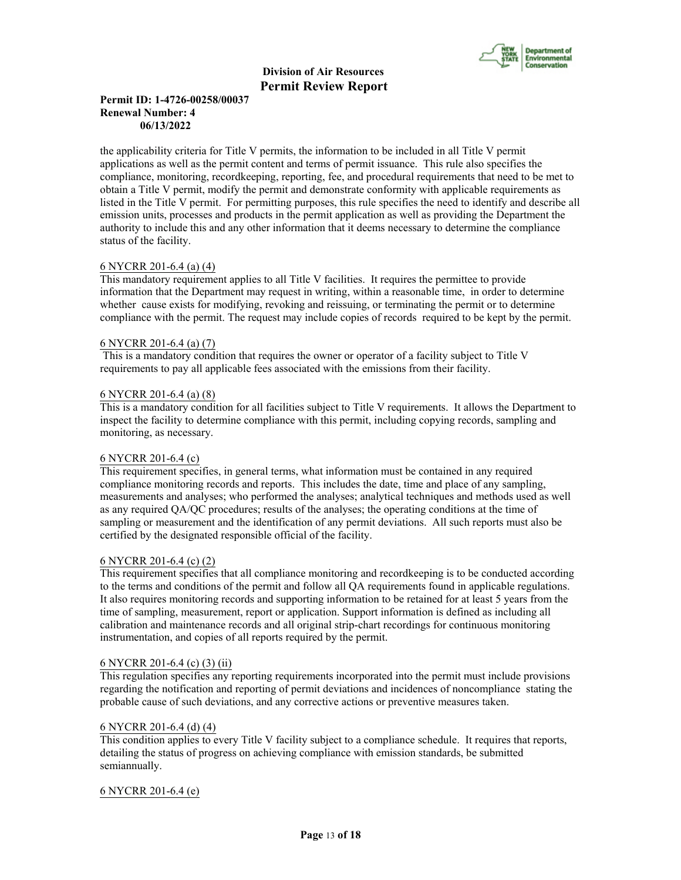

# **Permit ID: 1-4726-00258/00037 Renewal Number: 4 06/13/2022**

the applicability criteria for Title V permits, the information to be included in all Title V permit applications as well as the permit content and terms of permit issuance. This rule also specifies the compliance, monitoring, recordkeeping, reporting, fee, and procedural requirements that need to be met to obtain a Title V permit, modify the permit and demonstrate conformity with applicable requirements as listed in the Title V permit. For permitting purposes, this rule specifies the need to identify and describe all emission units, processes and products in the permit application as well as providing the Department the authority to include this and any other information that it deems necessary to determine the compliance status of the facility.

# 6 NYCRR 201-6.4 (a) (4)

This mandatory requirement applies to all Title V facilities. It requires the permittee to provide information that the Department may request in writing, within a reasonable time, in order to determine whether cause exists for modifying, revoking and reissuing, or terminating the permit or to determine compliance with the permit. The request may include copies of records required to be kept by the permit.

#### 6 NYCRR 201-6.4 (a) (7)

 This is a mandatory condition that requires the owner or operator of a facility subject to Title V requirements to pay all applicable fees associated with the emissions from their facility.

#### 6 NYCRR 201-6.4 (a) (8)

This is a mandatory condition for all facilities subject to Title V requirements. It allows the Department to inspect the facility to determine compliance with this permit, including copying records, sampling and monitoring, as necessary.

# 6 NYCRR 201-6.4 (c)

This requirement specifies, in general terms, what information must be contained in any required compliance monitoring records and reports. This includes the date, time and place of any sampling, measurements and analyses; who performed the analyses; analytical techniques and methods used as well as any required QA/QC procedures; results of the analyses; the operating conditions at the time of sampling or measurement and the identification of any permit deviations. All such reports must also be certified by the designated responsible official of the facility.

#### 6 NYCRR 201-6.4 (c) (2)

This requirement specifies that all compliance monitoring and recordkeeping is to be conducted according to the terms and conditions of the permit and follow all QA requirements found in applicable regulations. It also requires monitoring records and supporting information to be retained for at least 5 years from the time of sampling, measurement, report or application. Support information is defined as including all calibration and maintenance records and all original strip-chart recordings for continuous monitoring instrumentation, and copies of all reports required by the permit.

# 6 NYCRR 201-6.4 (c) (3) (ii)

This regulation specifies any reporting requirements incorporated into the permit must include provisions regarding the notification and reporting of permit deviations and incidences of noncompliance stating the probable cause of such deviations, and any corrective actions or preventive measures taken.

#### 6 NYCRR 201-6.4 (d) (4)

This condition applies to every Title V facility subject to a compliance schedule. It requires that reports, detailing the status of progress on achieving compliance with emission standards, be submitted semiannually.

# 6 NYCRR 201-6.4 (e)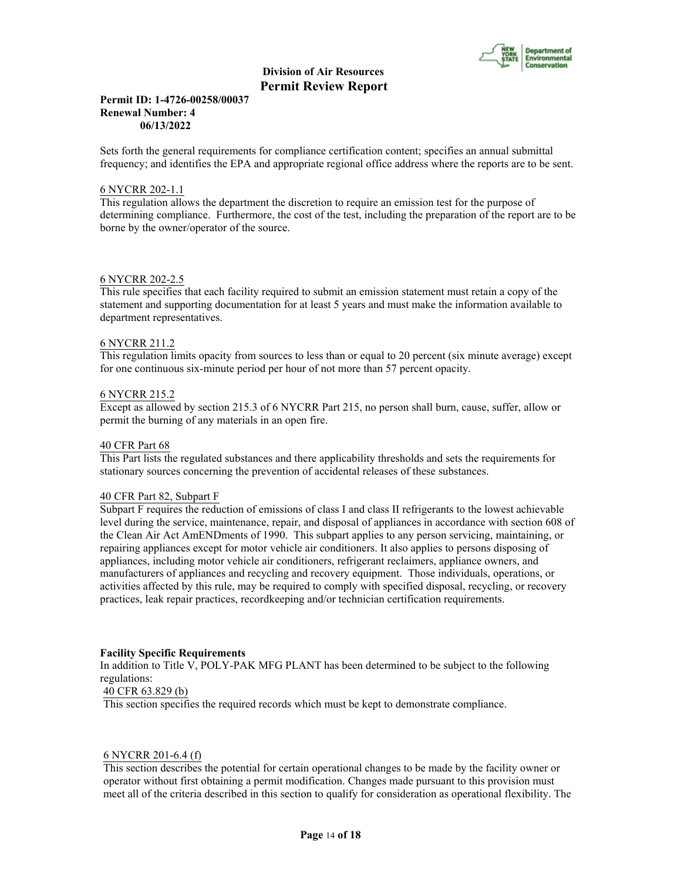

#### **Permit ID: 1-4726-00258/00037 Renewal Number: 4 06/13/2022**

Sets forth the general requirements for compliance certification content; specifies an annual submittal frequency; and identifies the EPA and appropriate regional office address where the reports are to be sent.

#### 6 NYCRR 202-1.1

This regulation allows the department the discretion to require an emission test for the purpose of determining compliance. Furthermore, the cost of the test, including the preparation of the report are to be borne by the owner/operator of the source.

#### 6 NYCRR 202-2.5

This rule specifies that each facility required to submit an emission statement must retain a copy of the statement and supporting documentation for at least 5 years and must make the information available to department representatives.

#### 6 NYCRR 211.2

This regulation limits opacity from sources to less than or equal to 20 percent (six minute average) except for one continuous six-minute period per hour of not more than 57 percent opacity.

#### 6 NYCRR 215.2

Except as allowed by section 215.3 of 6 NYCRR Part 215, no person shall burn, cause, suffer, allow or permit the burning of any materials in an open fire.

#### 40 CFR Part 68

This Part lists the regulated substances and there applicability thresholds and sets the requirements for stationary sources concerning the prevention of accidental releases of these substances.

#### 40 CFR Part 82, Subpart F

Subpart F requires the reduction of emissions of class I and class II refrigerants to the lowest achievable level during the service, maintenance, repair, and disposal of appliances in accordance with section 608 of the Clean Air Act AmENDments of 1990. This subpart applies to any person servicing, maintaining, or repairing appliances except for motor vehicle air conditioners. It also applies to persons disposing of appliances, including motor vehicle air conditioners, refrigerant reclaimers, appliance owners, and manufacturers of appliances and recycling and recovery equipment. Those individuals, operations, or activities affected by this rule, may be required to comply with specified disposal, recycling, or recovery practices, leak repair practices, recordkeeping and/or technician certification requirements.

#### **Facility Specific Requirements**

In addition to Title V, POLY-PAK MFG PLANT has been determined to be subject to the following regulations:

# 40 CFR 63.829 (b)

This section specifies the required records which must be kept to demonstrate compliance.

#### 6 NYCRR 201-6.4 (f)

This section describes the potential for certain operational changes to be made by the facility owner or operator without first obtaining a permit modification. Changes made pursuant to this provision must meet all of the criteria described in this section to qualify for consideration as operational flexibility. The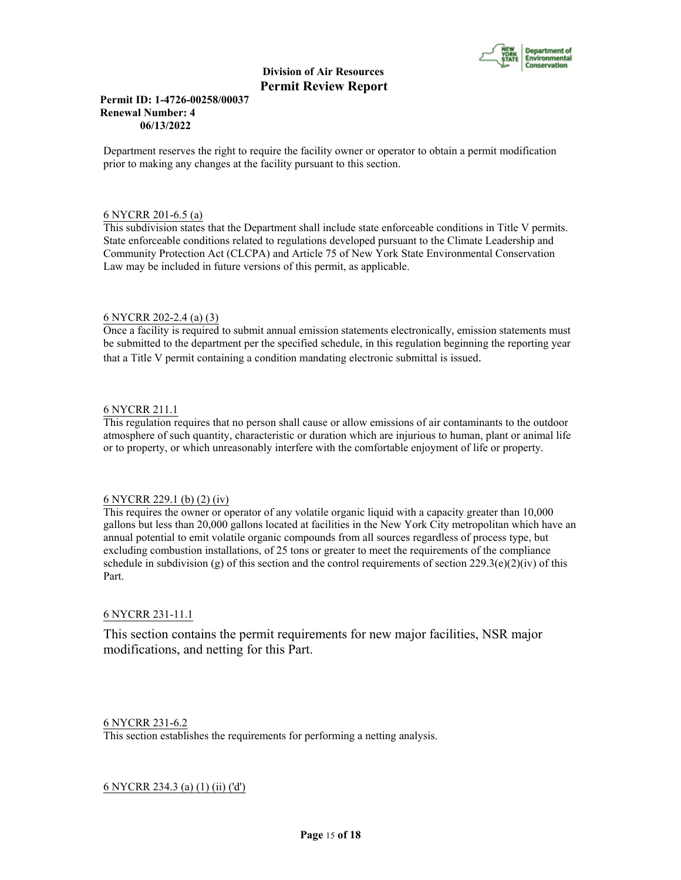

# **Permit ID: 1-4726-00258/00037 Renewal Number: 4 06/13/2022**

Department reserves the right to require the facility owner or operator to obtain a permit modification prior to making any changes at the facility pursuant to this section.

#### 6 NYCRR 201-6.5 (a)

This subdivision states that the Department shall include state enforceable conditions in Title V permits. State enforceable conditions related to regulations developed pursuant to the Climate Leadership and Community Protection Act (CLCPA) and Article 75 of New York State Environmental Conservation Law may be included in future versions of this permit, as applicable.

# 6 NYCRR 202-2.4 (a) (3)

Once a facility is required to submit annual emission statements electronically, emission statements must be submitted to the department per the specified schedule, in this regulation beginning the reporting year that a Title V permit containing a condition mandating electronic submittal is issued.

# 6 NYCRR 211.1

This regulation requires that no person shall cause or allow emissions of air contaminants to the outdoor atmosphere of such quantity, characteristic or duration which are injurious to human, plant or animal life or to property, or which unreasonably interfere with the comfortable enjoyment of life or property.

#### 6 NYCRR 229.1 (b) (2) (iv)

This requires the owner or operator of any volatile organic liquid with a capacity greater than 10,000 gallons but less than 20,000 gallons located at facilities in the New York City metropolitan which have an annual potential to emit volatile organic compounds from all sources regardless of process type, but excluding combustion installations, of 25 tons or greater to meet the requirements of the compliance schedule in subdivision (g) of this section and the control requirements of section  $229.3(e)(2)(iv)$  of this Part.

#### 6 NYCRR 231-11.1

This section contains the permit requirements for new major facilities, NSR major modifications, and netting for this Part.

# 6 NYCRR 231-6.2

This section establishes the requirements for performing a netting analysis.

# 6 NYCRR 234.3 (a) (1) (ii) ('d')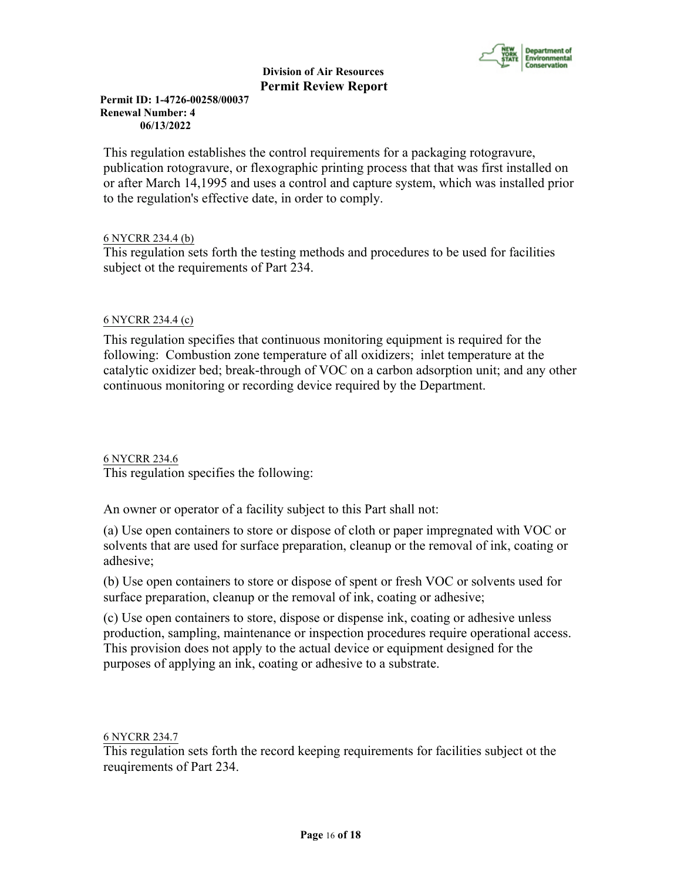

**Permit ID: 1-4726-00258/00037 Renewal Number: 4 06/13/2022**

This regulation establishes the control requirements for a packaging rotogravure, publication rotogravure, or flexographic printing process that that was first installed on or after March 14,1995 and uses a control and capture system, which was installed prior to the regulation's effective date, in order to comply.

# 6 NYCRR 234.4 (b)

This regulation sets forth the testing methods and procedures to be used for facilities subject ot the requirements of Part 234.

# 6 NYCRR 234.4 (c)

This regulation specifies that continuous monitoring equipment is required for the following: Combustion zone temperature of all oxidizers; inlet temperature at the catalytic oxidizer bed; break-through of VOC on a carbon adsorption unit; and any other continuous monitoring or recording device required by the Department.

6 NYCRR 234.6 This regulation specifies the following:

An owner or operator of a facility subject to this Part shall not:

(a) Use open containers to store or dispose of cloth or paper impregnated with VOC or solvents that are used for surface preparation, cleanup or the removal of ink, coating or adhesive;

(b) Use open containers to store or dispose of spent or fresh VOC or solvents used for surface preparation, cleanup or the removal of ink, coating or adhesive;

(c) Use open containers to store, dispose or dispense ink, coating or adhesive unless production, sampling, maintenance or inspection procedures require operational access. This provision does not apply to the actual device or equipment designed for the purposes of applying an ink, coating or adhesive to a substrate.

6 NYCRR 234.7

This regulation sets forth the record keeping requirements for facilities subject ot the reuqirements of Part 234.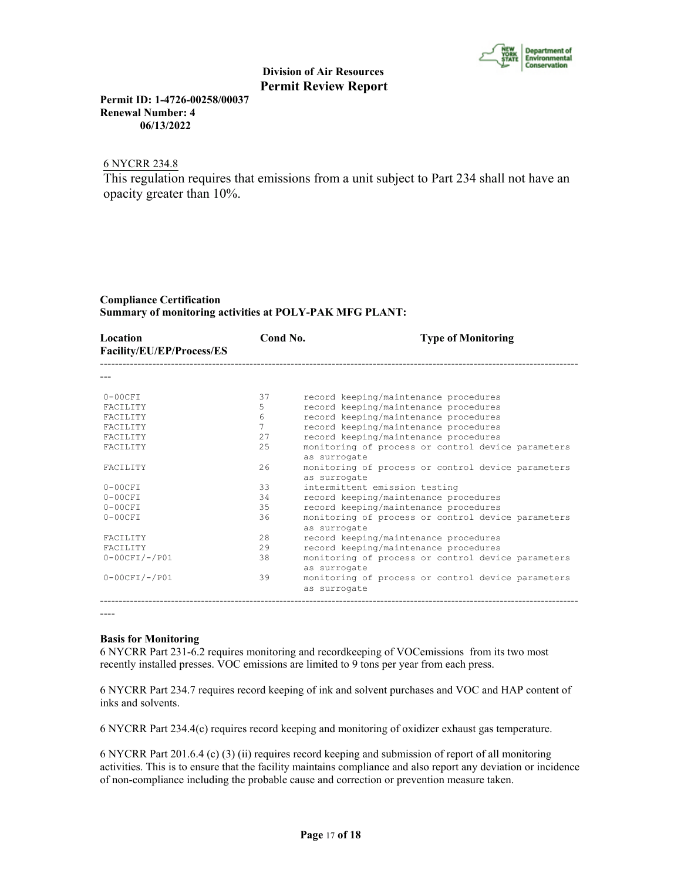

**Permit ID: 1-4726-00258/00037 Renewal Number: 4 06/13/2022**

# 6 NYCRR 234.8

This regulation requires that emissions from a unit subject to Part 234 shall not have an opacity greater than 10%.

# **Compliance Certification Summary of monitoring activities at POLY-PAK MFG PLANT:**

| Location<br>Facility/EU/EP/Process/ES | Cond No.        | <b>Type of Monitoring</b>                                          |
|---------------------------------------|-----------------|--------------------------------------------------------------------|
|                                       |                 |                                                                    |
| $0-00CFT$                             | 37              | record keeping/maintenance procedures                              |
| <b>FACTLITY</b>                       | 5               | record keeping/maintenance procedures                              |
| <b>FACTLITY</b>                       | $6\overline{6}$ | record keeping/maintenance procedures                              |
| <b>FACTLITY</b>                       | 7               | record keeping/maintenance procedures                              |
| <b>FACTLITY</b>                       | 2.7             | record keeping/maintenance procedures                              |
| <b>FACTLITY</b>                       | 25              | monitoring of process or control device parameters<br>as surrogate |
| <b>FACTLITY</b>                       | 2.6             | monitoring of process or control device parameters<br>as surrogate |
| $0-00CFI$                             | 33              | intermittent emission testing                                      |
| $0-00CFT$                             | 34              | record keeping/maintenance procedures                              |
| $0-00CFT$                             | 35              | record keeping/maintenance procedures                              |
| $0-00CFT$                             | 36              | monitoring of process or control device parameters<br>as surrogate |
| <b>FACTLITY</b>                       | 28              | record keeping/maintenance procedures                              |
| <b>FACTLITY</b>                       | 29              | record keeping/maintenance procedures                              |
| $0-00CFI/-/PO1$                       | 38              | monitoring of process or control device parameters<br>as surrogate |
| $0-00CFI/-/PO1$                       | 39              | monitoring of process or control device parameters<br>as surrogate |

----

#### **Basis for Monitoring**

6 NYCRR Part 231-6.2 requires monitoring and recordkeeping of VOCemissions from its two most recently installed presses. VOC emissions are limited to 9 tons per year from each press.

6 NYCRR Part 234.7 requires record keeping of ink and solvent purchases and VOC and HAP content of inks and solvents.

6 NYCRR Part 234.4(c) requires record keeping and monitoring of oxidizer exhaust gas temperature.

6 NYCRR Part 201.6.4 (c) (3) (ii) requires record keeping and submission of report of all monitoring activities. This is to ensure that the facility maintains compliance and also report any deviation or incidence of non-compliance including the probable cause and correction or prevention measure taken.